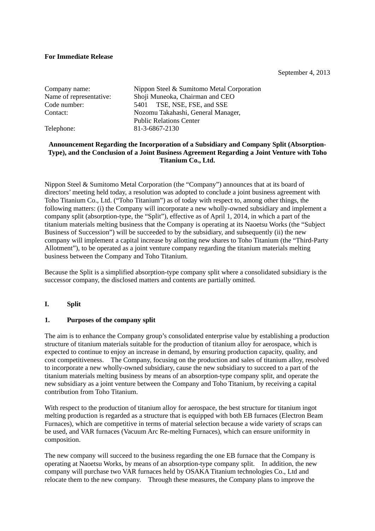## **For Immediate Release**

September 4, 2013

| Company name:           | Nippon Steel & Sumitomo Metal Corporation |  |
|-------------------------|-------------------------------------------|--|
| Name of representative: | Shoji Muneoka, Chairman and CEO           |  |
| Code number:            | 5401 TSE, NSE, FSE, and SSE               |  |
| Contact:                | Nozomu Takahashi, General Manager,        |  |
|                         | <b>Public Relations Center</b>            |  |
| Telephone:              | 81-3-6867-2130                            |  |
|                         |                                           |  |

## **Announcement Regarding the Incorporation of a Subsidiary and Company Split (Absorption-Type), and the Conclusion of a Joint Business Agreement Regarding a Joint Venture with Toho Titanium Co., Ltd.**

Nippon Steel & Sumitomo Metal Corporation (the "Company") announces that at its board of directors' meeting held today, a resolution was adopted to conclude a joint business agreement with Toho Titanium Co., Ltd. ("Toho Titanium") as of today with respect to, among other things, the following matters: (i) the Company will incorporate a new wholly-owned subsidiary and implement a company split (absorption-type, the "Split"), effective as of April 1, 2014, in which a part of the titanium materials melting business that the Company is operating at its Naoetsu Works (the "Subject Business of Succession") will be succeeded to by the subsidiary, and subsequently (ii) the new company will implement a capital increase by allotting new shares to Toho Titanium (the "Third-Party Allotment"), to be operated as a joint venture company regarding the titanium materials melting business between the Company and Toho Titanium.

Because the Split is a simplified absorption-type company split where a consolidated subsidiary is the successor company, the disclosed matters and contents are partially omitted.

## **I. Split**

## **1. Purposes of the company split**

The aim is to enhance the Company group's consolidated enterprise value by establishing a production structure of titanium materials suitable for the production of titanium alloy for aerospace, which is expected to continue to enjoy an increase in demand, by ensuring production capacity, quality, and cost competitiveness. The Company, focusing on the production and sales of titanium alloy, resolved to incorporate a new wholly-owned subsidiary, cause the new subsidiary to succeed to a part of the titanium materials melting business by means of an absorption-type company split, and operate the new subsidiary as a joint venture between the Company and Toho Titanium, by receiving a capital contribution from Toho Titanium.

With respect to the production of titanium alloy for aerospace, the best structure for titanium ingot melting production is regarded as a structure that is equipped with both EB furnaces (Electron Beam Furnaces), which are competitive in terms of material selection because a wide variety of scraps can be used, and VAR furnaces (Vacuum Arc Re-melting Furnaces), which can ensure uniformity in composition.

The new company will succeed to the business regarding the one EB furnace that the Company is operating at Naoetsu Works, by means of an absorption-type company split. In addition, the new company will purchase two VAR furnaces held by OSAKA Titanium technologies Co., Ltd and relocate them to the new company. Through these measures, the Company plans to improve the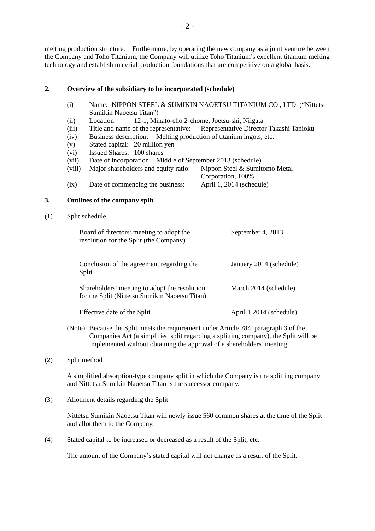melting production structure. Furthermore, by operating the new company as a joint venture between the Company and Toho Titanium, the Company will utilize Toho Titanium's excellent titanium melting technology and establish material production foundations that are competitive on a global basis.

## **2. Overview of the subsidiary to be incorporated (schedule)**

- (i) Name: NIPPON STEEL & SUMIKIN NAOETSU TITANIUM CO., LTD. ("Nittetsu Sumikin Naoetsu Titan")
- (ii) Location: 12-1, Minato-cho 2-chome, Joetsu-shi, Niigata
- (iii) Title and name of the representative: Representative Director Takashi Tanioku
- (iv) Business description: Melting production of titanium ingots, etc.
- (v) Stated capital: 20 million yen
- (vi) Issued Shares: 100 shares
- (vii) Date of incorporation: Middle of September 2013 (schedule)
- (viii) Major shareholders and equity ratio: Nippon Steel & Sumitomo Metal Corporation, 100% (ix) Date of commencing the business: April 1, 2014 (schedule)

### **3. Outlines of the company split**

(1) Split schedule

| Board of directors' meeting to adopt the<br>resolution for the Split (the Company)              | September 4, 2013       |
|-------------------------------------------------------------------------------------------------|-------------------------|
| Conclusion of the agreement regarding the<br>Split                                              | January 2014 (schedule) |
| Shareholders' meeting to adopt the resolution<br>for the Split (Nittetsu Sumikin Naoetsu Titan) | March 2014 (schedule)   |
| Effective date of the Split                                                                     | April 1 2014 (schedule) |

- (Note) Because the Split meets the requirement under Article 784, paragraph 3 of the Companies Act (a simplified split regarding a splitting company), the Split will be implemented without obtaining the approval of a shareholders' meeting.
- (2) Split method

A simplified absorption-type company split in which the Company is the splitting company and Nittetsu Sumikin Naoetsu Titan is the successor company.

(3) Allotment details regarding the Split

Nittetsu Sumikin Naoetsu Titan will newly issue 560 common shares at the time of the Split and allot them to the Company.

(4) Stated capital to be increased or decreased as a result of the Split, etc.

The amount of the Company's stated capital will not change as a result of the Split.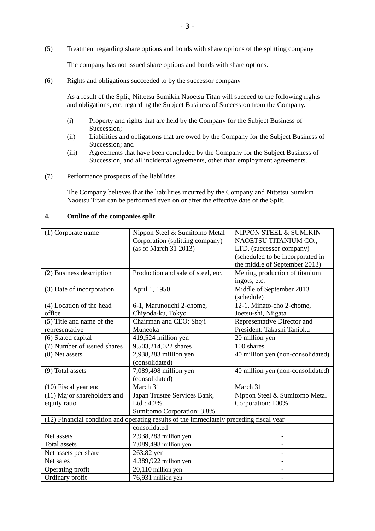(5) Treatment regarding share options and bonds with share options of the splitting company

The company has not issued share options and bonds with share options.

(6) Rights and obligations succeeded to by the successor company

As a result of the Split, Nittetsu Sumikin Naoetsu Titan will succeed to the following rights and obligations, etc. regarding the Subject Business of Succession from the Company.

- (i) Property and rights that are held by the Company for the Subject Business of Succession;
- (ii) Liabilities and obligations that are owed by the Company for the Subject Business of Succession; and
- (iii) Agreements that have been concluded by the Company for the Subject Business of Succession, and all incidental agreements, other than employment agreements.
- (7) Performance prospects of the liabilities

The Company believes that the liabilities incurred by the Company and Nittetsu Sumikin Naoetsu Titan can be performed even on or after the effective date of the Split.

#### **4. Outline of the companies split**

| (1) Corporate name                                                                      | Nippon Steel & Sumitomo Metal      | NIPPON STEEL & SUMIKIN            |  |
|-----------------------------------------------------------------------------------------|------------------------------------|-----------------------------------|--|
|                                                                                         | Corporation (splitting company)    | NAOETSU TITANIUM CO.,             |  |
|                                                                                         | (as of March 31 2013)              | LTD. (successor company)          |  |
|                                                                                         |                                    | (scheduled to be incorporated in  |  |
|                                                                                         |                                    | the middle of September 2013)     |  |
| (2) Business description                                                                | Production and sale of steel, etc. | Melting production of titanium    |  |
|                                                                                         |                                    | ingots, etc.                      |  |
| (3) Date of incorporation                                                               | April 1, 1950                      | Middle of September 2013          |  |
|                                                                                         |                                    | (schedule)                        |  |
| (4) Location of the head                                                                | 6-1, Marunouchi 2-chome,           | 12-1, Minato-cho 2-chome,         |  |
| office                                                                                  | Chiyoda-ku, Tokyo                  | Joetsu-shi, Niigata               |  |
| (5) Title and name of the                                                               | Chairman and CEO: Shoji            | Representative Director and       |  |
| representative                                                                          | Muneoka                            | President: Takashi Tanioku        |  |
| (6) Stated capital                                                                      | 419,524 million yen                | 20 million yen                    |  |
| (7) Number of issued shares                                                             | 9,503,214,022 shares               | 100 shares                        |  |
| (8) Net assets                                                                          | 2,938,283 million yen              | 40 million yen (non-consolidated) |  |
|                                                                                         | (consolidated)                     |                                   |  |
| (9) Total assets                                                                        | 7,089,498 million yen              | 40 million yen (non-consolidated) |  |
|                                                                                         | (consolidated)                     |                                   |  |
| (10) Fiscal year end                                                                    | March 31                           | March 31                          |  |
| (11) Major shareholders and                                                             | Japan Trustee Services Bank,       | Nippon Steel & Sumitomo Metal     |  |
| equity ratio                                                                            | Ltd.: 4.2%                         | Corporation: 100%                 |  |
|                                                                                         | Sumitomo Corporation: 3.8%         |                                   |  |
| (12) Financial condition and operating results of the immediately preceding fiscal year |                                    |                                   |  |
|                                                                                         | consolidated                       |                                   |  |
| Net assets                                                                              | 2,938,283 million yen              |                                   |  |
| <b>Total assets</b>                                                                     | 7,089,498 million yen              |                                   |  |
| Net assets per share                                                                    | 263.82 yen                         |                                   |  |
| Net sales                                                                               | 4,389,922 million yen              |                                   |  |
| Operating profit                                                                        | 20,110 million yen                 |                                   |  |
| Ordinary profit                                                                         | 76,931 million yen                 |                                   |  |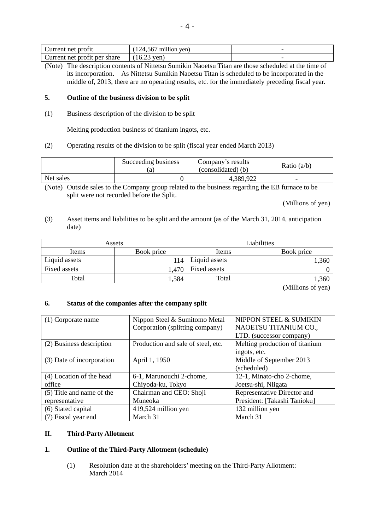| Current net profit           | million ven<br>124.561 |  |
|------------------------------|------------------------|--|
| Current net profit per share | 16.23<br>† ven ≀       |  |

(Note) The description contents of Nittetsu Sumikin Naoetsu Titan are those scheduled at the time of its incorporation. As Nittetsu Sumikin Naoetsu Titan is scheduled to be incorporated in the middle of, 2013, there are no operating results, etc. for the immediately preceding fiscal year.

## **5. Outline of the business division to be split**

(1) Business description of the division to be split

Melting production business of titanium ingots, etc.

(2) Operating results of the division to be split (fiscal year ended March 2013)

|           | Succeeding business<br>.a | Company's results<br>(consolidated) (b) | Ratio $(a/b)$ |
|-----------|---------------------------|-----------------------------------------|---------------|
| Net sales |                           | 4,389,922                               | -             |

(Note) Outside sales to the Company group related to the business regarding the EB furnace to be split were not recorded before the Split.

(Millions of yen)

(3) Asset items and liabilities to be split and the amount (as of the March 31, 2014, anticipation date)

|               | Assets     |               | Liabilities |
|---------------|------------|---------------|-------------|
| Items         | Book price | Items         | Book price  |
| Liquid assets | 114        | Liquid assets | ,360        |
| Fixed assets  | .470       | Fixed assets  |             |
| Total         | .584       | Total         | ,360        |

(Millions of yen)

# **6. Status of the companies after the company split**

| (1) Corporate name        | Nippon Steel & Sumitomo Metal      | NIPPON STEEL & SUMIKIN         |
|---------------------------|------------------------------------|--------------------------------|
|                           | Corporation (splitting company)    | NAOETSU TITANIUM CO.,          |
|                           |                                    | LTD. (successor company)       |
| (2) Business description  | Production and sale of steel, etc. | Melting production of titanium |
|                           |                                    | ingots, etc.                   |
| (3) Date of incorporation | April 1, 1950                      | Middle of September 2013       |
|                           |                                    | (scheduled)                    |
| (4) Location of the head  | 6-1, Marunouchi 2-chome,           | 12-1, Minato-cho 2-chome,      |
| office                    | Chiyoda-ku, Tokyo                  | Joetsu-shi, Niigata            |
| (5) Title and name of the | Chairman and CEO: Shoji            | Representative Director and    |
| representative            | Muneoka                            | President: [Takashi Tanioku]   |
| (6) Stated capital        | 419,524 million yen                | 132 million yen                |
| (7) Fiscal year end       | March 31                           | March 31                       |

## **II. Third-Party Allotment**

# **1. Outline of the Third-Party Allotment (schedule)**

(1) Resolution date at the shareholders' meeting on the Third-Party Allotment: March 2014